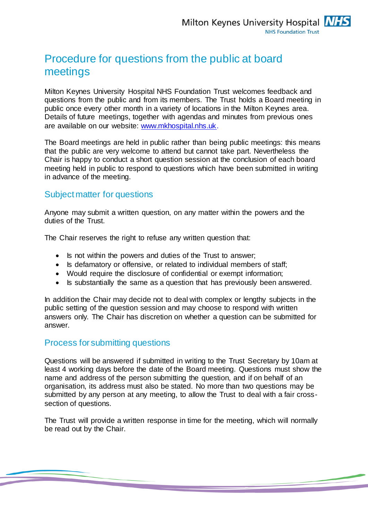## Procedure for questions from the public at board meetings

Milton Keynes University Hospital NHS Foundation Trust welcomes feedback and questions from the public and from its members. The Trust holds a Board meeting in public once every other month in a variety of locations in the Milton Keynes area. Details of future meetings, together with agendas and minutes from previous ones are available on our website: [www.mkhospital.nhs.uk.](http://www.mkhospital.nhs.uk/)

The Board meetings are held in public rather than being public meetings: this means that the public are very welcome to attend but cannot take part. Nevertheless the Chair is happy to conduct a short question session at the conclusion of each board meeting held in public to respond to questions which have been submitted in writing in advance of the meeting.

## Subject matter for questions

Anyone may submit a written question, on any matter within the powers and the duties of the Trust.

The Chair reserves the right to refuse any written question that:

- Is not within the powers and duties of the Trust to answer;
- Is defamatory or offensive, or related to individual members of staff;
- Would require the disclosure of confidential or exempt information;
- Is substantially the same as a question that has previously been answered.

In addition the Chair may decide not to deal with complex or lengthy subjects in the public setting of the question session and may choose to respond with written answers only. The Chair has discretion on whether a question can be submitted for answer.

## Process for submitting questions

Questions will be answered if submitted in writing to the Trust Secretary by 10am at least 4 working days before the date of the Board meeting. Questions must show the name and address of the person submitting the question, and if on behalf of an organisation, its address must also be stated. No more than two questions may be submitted by any person at any meeting, to allow the Trust to deal with a fair crosssection of questions.

The Trust will provide a written response in time for the meeting, which will normally be read out by the Chair.